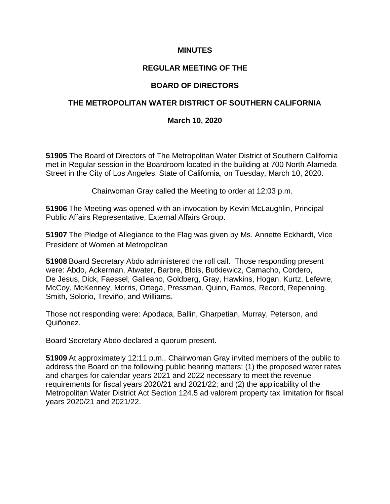### **MINUTES**

## **REGULAR MEETING OF THE**

## **BOARD OF DIRECTORS**

## **THE METROPOLITAN WATER DISTRICT OF SOUTHERN CALIFORNIA**

#### **March 10, 2020**

**51905** The Board of Directors of The Metropolitan Water District of Southern California met in Regular session in the Boardroom located in the building at 700 North Alameda Street in the City of Los Angeles, State of California, on Tuesday, March 10, 2020.

Chairwoman Gray called the Meeting to order at 12:03 p.m.

**51906** The Meeting was opened with an invocation by Kevin McLaughlin, Principal Public Affairs Representative, External Affairs Group.

**51907** The Pledge of Allegiance to the Flag was given by Ms. Annette Eckhardt, Vice President of Women at Metropolitan

**51908** Board Secretary Abdo administered the roll call. Those responding present were: Abdo, Ackerman, Atwater, Barbre, Blois, Butkiewicz, Camacho, Cordero, De Jesus, Dick, Faessel, Galleano, Goldberg, Gray, Hawkins, Hogan, Kurtz, Lefevre, McCoy, McKenney, Morris, Ortega, Pressman, Quinn, Ramos, Record, Repenning, Smith, Solorio, Treviño, and Williams.

Those not responding were: Apodaca, Ballin, Gharpetian, Murray, Peterson, and Quiñonez.

Board Secretary Abdo declared a quorum present.

**51909** At approximately 12:11 p.m., Chairwoman Gray invited members of the public to address the Board on the following public hearing matters: (1) the proposed water rates and charges for calendar years 2021 and 2022 necessary to meet the revenue requirements for fiscal years 2020/21 and 2021/22; and (2) the applicability of the Metropolitan Water District Act Section 124.5 ad valorem property tax limitation for fiscal years 2020/21 and 2021/22.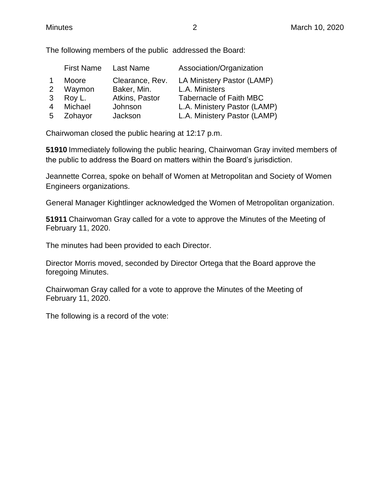|             | Moore                        | Clearance, Rev.                      | LA Ministery Pastor (LAMP)                                                                     |
|-------------|------------------------------|--------------------------------------|------------------------------------------------------------------------------------------------|
| 2           | Waymon                       | Baker, Min.                          | L.A. Ministers                                                                                 |
| 3<br>Δ<br>5 | Roy L.<br>Michael<br>Zohayor | Atkins, Pastor<br>Johnson<br>Jackson | <b>Tabernacle of Faith MBC</b><br>L.A. Ministery Pastor (LAMP)<br>L.A. Ministery Pastor (LAMP) |

Chairwoman closed the public hearing at 12:17 p.m.

**51910** Immediately following the public hearing, Chairwoman Gray invited members of the public to address the Board on matters within the Board's jurisdiction.

Jeannette Correa, spoke on behalf of Women at Metropolitan and Society of Women Engineers organizations.

General Manager Kightlinger acknowledged the Women of Metropolitan organization.

**51911** Chairwoman Gray called for a vote to approve the Minutes of the Meeting of February 11, 2020.

The minutes had been provided to each Director.

Director Morris moved, seconded by Director Ortega that the Board approve the foregoing Minutes.

Chairwoman Gray called for a vote to approve the Minutes of the Meeting of February 11, 2020.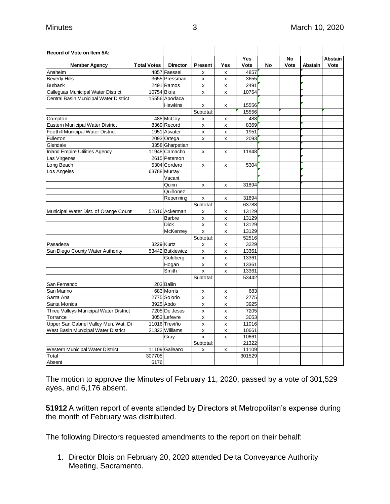| Record of Vote on Item 5A:               |                    |                          |                                    |                    |        |    |           |                |                |
|------------------------------------------|--------------------|--------------------------|------------------------------------|--------------------|--------|----|-----------|----------------|----------------|
|                                          |                    |                          |                                    |                    | Yes    |    | <b>No</b> |                | <b>Abstain</b> |
| <b>Member Agency</b>                     | <b>Total Votes</b> | <b>Director</b>          | <b>Present</b>                     | Yes                | Vote   | No | Vote      | <b>Abstain</b> | Vote           |
| Anaheim                                  |                    | 4857 Faessel             | x                                  | X                  | 4857   |    |           |                |                |
| <b>Beverly Hills</b>                     |                    | 3655 Pressman            | X                                  | x                  | 3655   |    |           |                |                |
| <b>Burbank</b>                           |                    | 2491 Ramos               | x                                  | x                  | 2491   |    |           |                |                |
| Calleguas Municipal Water District       | 10754 Blois        |                          | x                                  | X                  | 10754  |    |           |                |                |
| Central Basin Municipal Water District   |                    | 15556 Apodaca            |                                    |                    |        |    |           |                |                |
|                                          |                    | <b>Hawkins</b>           | x                                  | x                  | 15556  |    |           |                |                |
|                                          |                    |                          | Subtotal:                          |                    | 15556  |    |           |                |                |
| Compton                                  |                    | 488 McCoy                | X                                  | X                  | 488    |    |           |                |                |
| Eastern Municipal Water District         |                    | 8369 Record              | X                                  | $\pmb{\mathsf{x}}$ | 8369   |    |           |                |                |
| <b>Foothill Municipal Water District</b> |                    | 1951 Atwater             | $\pmb{\mathsf{X}}$                 | X                  | 1951   |    |           |                |                |
| Fullerton                                |                    | 2093 Ortega              | $\pmb{\mathsf{x}}$                 | X                  | 2093   |    |           |                |                |
| Glendale                                 |                    | 3358 Gharpetian          |                                    |                    |        |    |           |                |                |
| <b>Inland Empire Utilities Agency</b>    |                    | 11948 Camacho            | x                                  | x                  | 11948  |    |           |                |                |
| Las Virgenes                             |                    | 2615 Peterson            |                                    |                    |        |    |           |                |                |
| Long Beach                               |                    | 5304 Cordero             | x                                  | x                  | 5304   |    |           |                |                |
| Los Angeles                              |                    | 63788 Murray             |                                    |                    |        |    |           |                |                |
|                                          |                    | Vacant                   |                                    |                    |        |    |           |                |                |
|                                          |                    | Quinn                    | X                                  | X                  | 31894  |    |           |                |                |
|                                          |                    | Quiñonez                 |                                    |                    |        |    |           |                |                |
|                                          |                    | Repenning                | x                                  | x                  | 31894  |    |           |                |                |
|                                          |                    |                          | Subtotal:                          |                    | 63788  |    |           |                |                |
| Municipal Water Dist. of Orange County   |                    | 52516 Ackerman           | X                                  | X                  | 13129  |    |           |                |                |
|                                          |                    | <b>Barbre</b>            | X                                  | X                  | 13129  |    |           |                |                |
|                                          |                    | <b>Dick</b>              | $\pmb{\mathsf{x}}$                 | $\pmb{\mathsf{x}}$ | 13129  |    |           |                |                |
|                                          |                    | McKenney                 | $\pmb{\mathsf{x}}$                 | X                  | 13129  |    |           |                |                |
|                                          |                    |                          | Subtotal:                          |                    | 52516  |    |           |                |                |
| Pasadena                                 |                    | 3229 Kurtz               |                                    |                    | 3229   |    |           |                |                |
| San Diego County Water Authority         |                    | 53442 Butkiewicz         | x                                  | x                  | 13361  |    |           |                |                |
|                                          |                    | Goldberg                 | X                                  | x                  | 13361  |    |           |                |                |
|                                          |                    |                          | $\pmb{\mathsf{x}}$                 | $\pmb{\mathsf{x}}$ | 13361  |    |           |                |                |
|                                          |                    | Hogan<br>Smith           | $\pmb{\mathsf{x}}$<br>$\mathsf{x}$ | x                  | 13361  |    |           |                |                |
|                                          |                    |                          |                                    | X                  |        |    |           |                |                |
|                                          |                    |                          | Subtotal:                          |                    | 53442  |    |           |                |                |
| San Fernando<br>San Marino               |                    | 203 Ballin<br>683 Morris |                                    |                    |        |    |           |                |                |
|                                          |                    | 2775 Solorio             | x                                  | x                  | 683    |    |           |                |                |
| Santa Ana                                |                    |                          | x                                  | x                  | 2775   |    |           |                |                |
| Santa Monica                             |                    | 3925 Abdo                | x                                  | X                  | 3925   |    |           |                |                |
| Three Valleys Municipal Water District   |                    | 7205 De Jesus            | x                                  | X                  | 7205   |    |           |                |                |
| Torrance                                 |                    | 3053 Lefevre             | $\mathsf{x}$                       | x                  | 3053   |    |           |                |                |
| Upper San Gabriel Valley Mun. Wat. Di    |                    | 11016 Treviño            | X                                  | x                  | 11016  |    |           |                |                |
| West Basin Municipal Water District      |                    | 21322 Williams           | $\mathsf{x}$                       | $\pmb{\mathsf{x}}$ | 10661  |    |           |                |                |
|                                          |                    | Grav                     | x                                  | x                  | 10661  |    |           |                |                |
|                                          |                    |                          | Subtotal:                          |                    | 21322  |    |           |                |                |
| Western Municipal Water District         |                    | 11109 Galleano           | x                                  | x                  | 11109  |    |           |                |                |
| Total                                    | 307705             |                          |                                    |                    | 301529 |    |           |                |                |
| Absent                                   | 6176               |                          |                                    |                    |        |    |           |                |                |

The motion to approve the Minutes of February 11, 2020, passed by a vote of 301,529 ayes, and 6,176 absent.

**51912** A written report of events attended by Directors at Metropolitan's expense during the month of February was distributed.

The following Directors requested amendments to the report on their behalf:

1. Director Blois on February 20, 2020 attended Delta Conveyance Authority Meeting, Sacramento.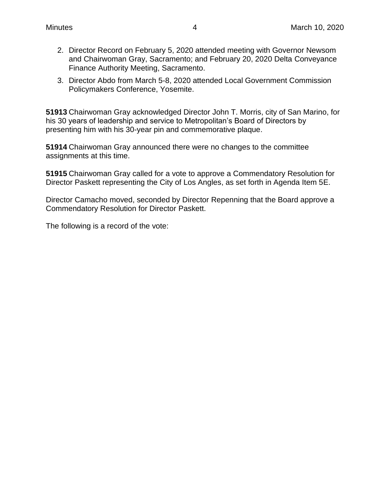- 2. Director Record on February 5, 2020 attended meeting with Governor Newsom and Chairwoman Gray, Sacramento; and February 20, 2020 Delta Conveyance Finance Authority Meeting, Sacramento.
- 3. Director Abdo from March 5-8, 2020 attended Local Government Commission Policymakers Conference, Yosemite.

**51913** Chairwoman Gray acknowledged Director John T. Morris, city of San Marino, for his 30 years of leadership and service to Metropolitan's Board of Directors by presenting him with his 30-year pin and commemorative plaque.

**51914** Chairwoman Gray announced there were no changes to the committee assignments at this time.

**51915** Chairwoman Gray called for a vote to approve a Commendatory Resolution for Director Paskett representing the City of Los Angles, as set forth in Agenda Item 5E.

Director Camacho moved, seconded by Director Repenning that the Board approve a Commendatory Resolution for Director Paskett.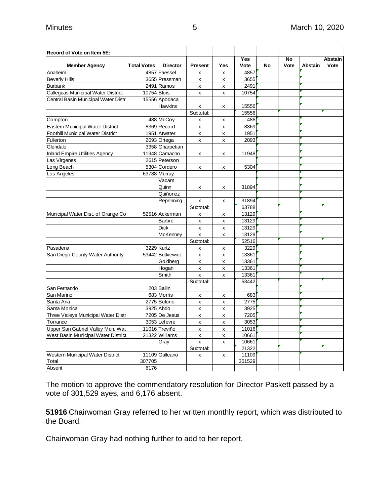| Record of Vote on Item 5E:               |                    |                  |                |              |            |    |      |                |         |
|------------------------------------------|--------------------|------------------|----------------|--------------|------------|----|------|----------------|---------|
|                                          |                    |                  |                |              | <b>Yes</b> |    | No   |                | Abstain |
| <b>Member Agency</b>                     | <b>Total Votes</b> | <b>Director</b>  | <b>Present</b> | Yes          | Vote       | No | Vote | <b>Abstain</b> | Vote    |
| Anaheim                                  |                    | 4857 Faessel     | X              | x            | 4857       |    |      |                |         |
| <b>Beverly Hills</b>                     |                    | 3655 Pressman    | x              | x            | 3655       |    |      |                |         |
| <b>Burbank</b>                           |                    | 2491 Ramos       | x              | x            | 2491       |    |      |                |         |
| Calleguas Municipal Water District       | 10754 Blois        |                  | x              | x            | 10754      |    |      |                |         |
| Central Basin Municipal Water Distr      |                    | 15556 Apodaca    |                |              |            |    |      |                |         |
|                                          |                    | <b>Hawkins</b>   | $\pmb{\times}$ | x            | 15556      |    |      |                |         |
|                                          |                    |                  | Subtotal:      |              | 15556      |    |      |                |         |
| Compton                                  |                    | 488 McCoy        | x              | x            | 488        |    |      |                |         |
| Eastern Municipal Water District         |                    | 8369 Record      | X              | X            | 8369       |    |      |                |         |
| <b>Foothill Municipal Water District</b> |                    | 1951 Atwater     | X              | x            | 1951       |    |      |                |         |
| Fullerton                                |                    | 2093 Ortega      | X              | X            | 2093       |    |      |                |         |
| Glendale                                 |                    | 3358 Gharpetian  |                |              |            |    |      |                |         |
| <b>Inland Empire Utilities Agency</b>    |                    | 11948 Camacho    | x              | x            | 11948      |    |      |                |         |
| Las Virgenes                             |                    | 2615 Peterson    |                |              |            |    |      |                |         |
| Long Beach                               |                    | 5304 Cordero     | x              | x            | 5304       |    |      |                |         |
| Los Angeles                              |                    | 63788 Murray     |                |              |            |    |      |                |         |
|                                          |                    | Vacant           |                |              |            |    |      |                |         |
|                                          |                    | Quinn            | X              | X            | 31894      |    |      |                |         |
|                                          |                    | Quiñonez         |                |              |            |    |      |                |         |
|                                          |                    | Repenning        | x              | x            | 31894      |    |      |                |         |
|                                          |                    |                  | Subtotal:      |              | 63788      |    |      |                |         |
| Municipal Water Dist. of Orange Co       |                    | 52516 Ackerman   | X              | X            | 13129      |    |      |                |         |
|                                          |                    | <b>Barbre</b>    | X              | X            | 13129      |    |      |                |         |
|                                          |                    | <b>Dick</b>      | x              | x            | 13129      |    |      |                |         |
|                                          |                    | McKenney         | $\mathsf{x}$   | x            | 13129      |    |      |                |         |
|                                          |                    |                  | Subtotal:      |              | 52516      |    |      |                |         |
| Pasadena                                 |                    | 3229 Kurtz       |                |              | 3229       |    |      |                |         |
| San Diego County Water Authority         |                    | 53442 Butkiewicz | x              | X            | 13361      |    |      |                |         |
|                                          |                    |                  | x              | x            | 13361      |    |      |                |         |
|                                          |                    | Goldberg         | X              | $\mathsf{x}$ |            |    |      |                |         |
|                                          |                    | Hogan<br>Smith   | x              | x            | 13361      |    |      |                |         |
|                                          |                    |                  | $\mathsf{x}$   | X            | 13361      |    |      |                |         |
|                                          |                    |                  | Subtotal:      |              | 53442      |    |      |                |         |
| San Fernando                             |                    | 203 Ballin       |                |              |            |    |      |                |         |
| San Marino                               |                    | 683 Morris       | X              | X            | 683        |    |      |                |         |
| Santa Ana                                |                    | 2775 Solorio     | X              | X            | 2775       |    |      |                |         |
| Santa Monica                             |                    | 3925 Abdo        | x              | x            | 3925       |    |      |                |         |
| Three Valleys Municipal Water Distr      |                    | 7205 De Jesus    | x              | x            | 7205       |    |      |                |         |
| Torrance                                 |                    | 3053 Lefevre     | X              | X            | 3053       |    |      |                |         |
| Upper San Gabriel Valley Mun. Wat        |                    | 11016 Treviño    | X              | X            | 11016      |    |      |                |         |
| West Basin Municipal Water District      |                    | 21322 Williams   | x              | X            | 10661      |    |      |                |         |
|                                          |                    | Gray             | X              | X            | 10661      |    |      |                |         |
|                                          |                    |                  | Subtotal:      |              | 21322      |    |      |                |         |
| Western Municipal Water District         |                    | 11109 Galleano   | X              | X            | 11109      |    |      |                |         |
| Total                                    | 307705             |                  |                |              | 301529     |    |      |                |         |
| Absent                                   | 6176               |                  |                |              |            |    |      |                |         |

The motion to approve the commendatory resolution for Director Paskett passed by a vote of 301,529 ayes, and 6,176 absent.

**51916** Chairwoman Gray referred to her written monthly report, which was distributed to the Board.

Chairwoman Gray had nothing further to add to her report.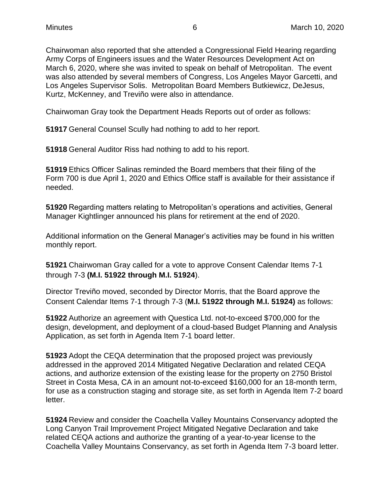Chairwoman also reported that she attended a Congressional Field Hearing regarding Army Corps of Engineers issues and the Water Resources Development Act on March 6, 2020, where she was invited to speak on behalf of Metropolitan. The event was also attended by several members of Congress, Los Angeles Mayor Garcetti, and Los Angeles Supervisor Solis. Metropolitan Board Members Butkiewicz, DeJesus, Kurtz, McKenney, and Treviño were also in attendance.

Chairwoman Gray took the Department Heads Reports out of order as follows:

**51917** General Counsel Scully had nothing to add to her report.

**51918** General Auditor Riss had nothing to add to his report.

**51919** Ethics Officer Salinas reminded the Board members that their filing of the Form 700 is due April 1, 2020 and Ethics Office staff is available for their assistance if needed.

**51920** Regarding matters relating to Metropolitan's operations and activities, General Manager Kightlinger announced his plans for retirement at the end of 2020.

Additional information on the General Manager's activities may be found in his written monthly report.

**51921** Chairwoman Gray called for a vote to approve Consent Calendar Items 7-1 through 7-3 **(M.I. 51922 through M.I. 51924**).

Director Treviño moved, seconded by Director Morris, that the Board approve the Consent Calendar Items 7-1 through 7-3 (**M.I. 51922 through M.I. 51924)** as follows:

**51922** Authorize an agreement with Questica Ltd. not-to-exceed \$700,000 for the design, development, and deployment of a cloud-based Budget Planning and Analysis Application, as set forth in Agenda Item 7-1 board letter.

**51923** Adopt the CEQA determination that the proposed project was previously addressed in the approved 2014 Mitigated Negative Declaration and related CEQA actions, and authorize extension of the existing lease for the property on 2750 Bristol Street in Costa Mesa, CA in an amount not-to-exceed \$160,000 for an 18-month term, for use as a construction staging and storage site, as set forth in Agenda Item 7-2 board letter.

**51924** Review and consider the Coachella Valley Mountains Conservancy adopted the Long Canyon Trail Improvement Project Mitigated Negative Declaration and take related CEQA actions and authorize the granting of a year-to-year license to the Coachella Valley Mountains Conservancy, as set forth in Agenda Item 7-3 board letter.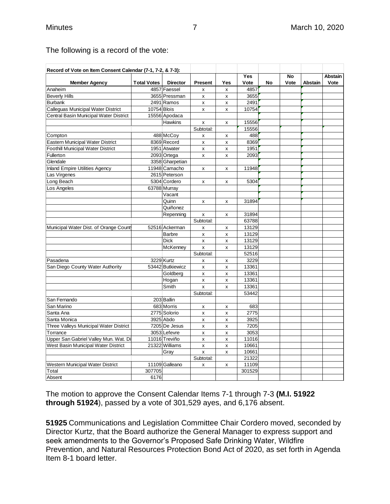T

| <b>Total Votes</b> | <b>Director</b><br>4857 Faessel<br>3655 Pressman<br>2491 Ramos<br>10754 Blois<br>15556 Apodaca<br><b>Hawkins</b> | Present<br>X<br>x<br>x<br>x<br>x<br>Subtotal:                                                                                                                                                                                                                                                                                                                                    | Yes<br>x<br>x<br>x<br>x<br>X                                                                    | <b>Yes</b><br>Vote<br>4857<br>3655<br>2491<br>10754 | No                                                                                                                                                                        | No<br>Vote | Abstain | <b>Abstain</b><br>Vote |
|--------------------|------------------------------------------------------------------------------------------------------------------|----------------------------------------------------------------------------------------------------------------------------------------------------------------------------------------------------------------------------------------------------------------------------------------------------------------------------------------------------------------------------------|-------------------------------------------------------------------------------------------------|-----------------------------------------------------|---------------------------------------------------------------------------------------------------------------------------------------------------------------------------|------------|---------|------------------------|
|                    |                                                                                                                  |                                                                                                                                                                                                                                                                                                                                                                                  |                                                                                                 |                                                     |                                                                                                                                                                           |            |         |                        |
|                    |                                                                                                                  |                                                                                                                                                                                                                                                                                                                                                                                  |                                                                                                 |                                                     |                                                                                                                                                                           |            |         |                        |
|                    |                                                                                                                  |                                                                                                                                                                                                                                                                                                                                                                                  |                                                                                                 |                                                     |                                                                                                                                                                           |            |         |                        |
|                    |                                                                                                                  |                                                                                                                                                                                                                                                                                                                                                                                  |                                                                                                 |                                                     |                                                                                                                                                                           |            |         |                        |
|                    |                                                                                                                  |                                                                                                                                                                                                                                                                                                                                                                                  |                                                                                                 |                                                     |                                                                                                                                                                           |            |         |                        |
|                    |                                                                                                                  |                                                                                                                                                                                                                                                                                                                                                                                  |                                                                                                 |                                                     |                                                                                                                                                                           |            |         |                        |
|                    |                                                                                                                  |                                                                                                                                                                                                                                                                                                                                                                                  |                                                                                                 | 15556                                               |                                                                                                                                                                           |            |         |                        |
|                    |                                                                                                                  |                                                                                                                                                                                                                                                                                                                                                                                  |                                                                                                 | 15556                                               |                                                                                                                                                                           |            |         |                        |
|                    | 488 McCoy                                                                                                        | x                                                                                                                                                                                                                                                                                                                                                                                | х                                                                                               | 488                                                 |                                                                                                                                                                           |            |         |                        |
|                    | 8369 Record                                                                                                      | X                                                                                                                                                                                                                                                                                                                                                                                | X                                                                                               | 8369                                                |                                                                                                                                                                           |            |         |                        |
|                    | 1951 Atwater                                                                                                     | x                                                                                                                                                                                                                                                                                                                                                                                | x                                                                                               | 1951                                                |                                                                                                                                                                           |            |         |                        |
|                    |                                                                                                                  | x                                                                                                                                                                                                                                                                                                                                                                                | x                                                                                               | 2093                                                |                                                                                                                                                                           |            |         |                        |
|                    |                                                                                                                  |                                                                                                                                                                                                                                                                                                                                                                                  |                                                                                                 |                                                     |                                                                                                                                                                           |            |         |                        |
|                    |                                                                                                                  | x                                                                                                                                                                                                                                                                                                                                                                                | x                                                                                               | 11948                                               |                                                                                                                                                                           |            |         |                        |
|                    |                                                                                                                  |                                                                                                                                                                                                                                                                                                                                                                                  |                                                                                                 |                                                     |                                                                                                                                                                           |            |         |                        |
|                    |                                                                                                                  | x                                                                                                                                                                                                                                                                                                                                                                                | x                                                                                               | 5304                                                |                                                                                                                                                                           |            |         |                        |
|                    |                                                                                                                  |                                                                                                                                                                                                                                                                                                                                                                                  |                                                                                                 |                                                     |                                                                                                                                                                           |            |         |                        |
|                    | Vacant                                                                                                           |                                                                                                                                                                                                                                                                                                                                                                                  |                                                                                                 |                                                     |                                                                                                                                                                           |            |         |                        |
|                    | Quinn                                                                                                            | x                                                                                                                                                                                                                                                                                                                                                                                | x                                                                                               | 31894                                               |                                                                                                                                                                           |            |         |                        |
|                    | Quiñonez                                                                                                         |                                                                                                                                                                                                                                                                                                                                                                                  |                                                                                                 |                                                     |                                                                                                                                                                           |            |         |                        |
|                    | Repenning                                                                                                        | x                                                                                                                                                                                                                                                                                                                                                                                | x                                                                                               | 31894                                               |                                                                                                                                                                           |            |         |                        |
|                    |                                                                                                                  | Subtotal:                                                                                                                                                                                                                                                                                                                                                                        |                                                                                                 | 63788                                               |                                                                                                                                                                           |            |         |                        |
|                    |                                                                                                                  | x                                                                                                                                                                                                                                                                                                                                                                                | х                                                                                               |                                                     |                                                                                                                                                                           |            |         |                        |
|                    |                                                                                                                  | X                                                                                                                                                                                                                                                                                                                                                                                | x                                                                                               |                                                     |                                                                                                                                                                           |            |         |                        |
|                    | <b>Dick</b>                                                                                                      | x                                                                                                                                                                                                                                                                                                                                                                                | x                                                                                               |                                                     |                                                                                                                                                                           |            |         |                        |
|                    |                                                                                                                  | X                                                                                                                                                                                                                                                                                                                                                                                | X                                                                                               |                                                     |                                                                                                                                                                           |            |         |                        |
|                    |                                                                                                                  |                                                                                                                                                                                                                                                                                                                                                                                  |                                                                                                 |                                                     |                                                                                                                                                                           |            |         |                        |
|                    |                                                                                                                  |                                                                                                                                                                                                                                                                                                                                                                                  | х                                                                                               |                                                     |                                                                                                                                                                           |            |         |                        |
|                    |                                                                                                                  |                                                                                                                                                                                                                                                                                                                                                                                  |                                                                                                 |                                                     |                                                                                                                                                                           |            |         |                        |
|                    |                                                                                                                  |                                                                                                                                                                                                                                                                                                                                                                                  |                                                                                                 |                                                     |                                                                                                                                                                           |            |         |                        |
|                    |                                                                                                                  |                                                                                                                                                                                                                                                                                                                                                                                  |                                                                                                 |                                                     |                                                                                                                                                                           |            |         |                        |
|                    |                                                                                                                  |                                                                                                                                                                                                                                                                                                                                                                                  |                                                                                                 |                                                     |                                                                                                                                                                           |            |         |                        |
|                    |                                                                                                                  |                                                                                                                                                                                                                                                                                                                                                                                  |                                                                                                 |                                                     |                                                                                                                                                                           |            |         |                        |
|                    |                                                                                                                  |                                                                                                                                                                                                                                                                                                                                                                                  |                                                                                                 |                                                     |                                                                                                                                                                           |            |         |                        |
|                    |                                                                                                                  |                                                                                                                                                                                                                                                                                                                                                                                  |                                                                                                 |                                                     |                                                                                                                                                                           |            |         |                        |
|                    |                                                                                                                  |                                                                                                                                                                                                                                                                                                                                                                                  |                                                                                                 |                                                     |                                                                                                                                                                           |            |         |                        |
|                    |                                                                                                                  |                                                                                                                                                                                                                                                                                                                                                                                  |                                                                                                 |                                                     |                                                                                                                                                                           |            |         |                        |
|                    |                                                                                                                  |                                                                                                                                                                                                                                                                                                                                                                                  |                                                                                                 |                                                     |                                                                                                                                                                           |            |         |                        |
|                    |                                                                                                                  |                                                                                                                                                                                                                                                                                                                                                                                  |                                                                                                 |                                                     |                                                                                                                                                                           |            |         |                        |
|                    |                                                                                                                  |                                                                                                                                                                                                                                                                                                                                                                                  |                                                                                                 |                                                     |                                                                                                                                                                           |            |         |                        |
|                    | Grav                                                                                                             | x                                                                                                                                                                                                                                                                                                                                                                                | x                                                                                               | 10661                                               |                                                                                                                                                                           |            |         |                        |
|                    |                                                                                                                  |                                                                                                                                                                                                                                                                                                                                                                                  |                                                                                                 |                                                     |                                                                                                                                                                           |            |         |                        |
|                    |                                                                                                                  | х                                                                                                                                                                                                                                                                                                                                                                                | х                                                                                               |                                                     |                                                                                                                                                                           |            |         |                        |
|                    |                                                                                                                  |                                                                                                                                                                                                                                                                                                                                                                                  |                                                                                                 | 301529                                              |                                                                                                                                                                           |            |         |                        |
|                    |                                                                                                                  |                                                                                                                                                                                                                                                                                                                                                                                  |                                                                                                 |                                                     |                                                                                                                                                                           |            |         |                        |
|                    |                                                                                                                  | 2093 Ortega<br>3358 Gharpetian<br>11948 Camacho<br>2615 Peterson<br>5304 Cordero<br>63788 Murray<br>52516 Ackerman<br><b>Barbre</b><br>McKenney<br>3229 Kurtz<br>53442 Butkiewicz<br>Goldberg<br>Hogan<br>Smith<br>203 Ballin<br>683 Morris<br>2775 Solorio<br>3925 Abdo<br>7205 De Jesus<br>3053 Lefevre<br>11016 Treviño<br>21322 Williams<br>11109 Galleano<br>307705<br>6176 | Subtotal:<br>x<br>x<br>x<br>X<br>x<br>Subtotal:<br>x<br>x<br>X<br>x<br>x<br>x<br>X<br>Subtotal: | x<br>x<br>х<br>x<br>х<br>x<br>x<br>х<br>x<br>x<br>x | 13129<br>13129<br>13129<br>13129<br>52516<br>3229<br>13361<br>13361<br>13361<br>13361<br>53442<br>683<br>2775<br>3925<br>7205<br>3053<br>11016<br>10661<br>21322<br>11109 |            |         |                        |

## The following is a record of the vote: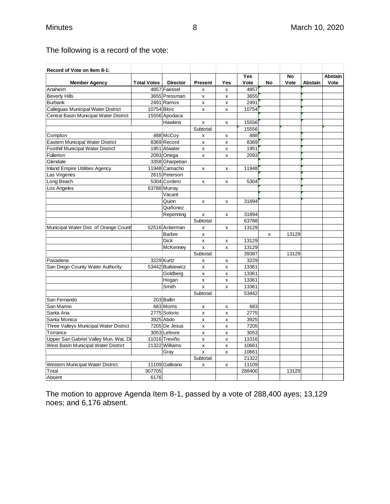# The following is a record of the vote:

| Record of Vote on Item 8-1:              |                    |                  |                           |                           |            |    |       |         |         |
|------------------------------------------|--------------------|------------------|---------------------------|---------------------------|------------|----|-------|---------|---------|
|                                          |                    |                  |                           |                           | <b>Yes</b> |    | No    |         | Abstain |
| <b>Member Agency</b>                     | <b>Total Votes</b> | <b>Director</b>  | <b>Present</b>            | Yes                       | Vote       | No | Vote  | Abstain | Vote    |
| Anaheim                                  |                    | 4857 Faessel     | $\boldsymbol{\mathsf{x}}$ | X                         | 4857       |    |       |         |         |
| <b>Beverly Hills</b>                     |                    | 3655 Pressman    | $\pmb{\mathsf{x}}$        | $\pmb{\mathsf{x}}$        | 3655       |    |       |         |         |
| <b>Burbank</b>                           |                    | 2491 Ramos       | x                         | x                         | 2491       |    |       |         |         |
| Calleguas Municipal Water District       | 10754 Blois        |                  | x                         | x                         | 10754      |    |       |         |         |
| Central Basin Municipal Water District   |                    | 15556 Apodaca    |                           |                           |            |    |       |         |         |
|                                          |                    | <b>Hawkins</b>   | X                         | x                         | 15556      |    |       |         |         |
|                                          |                    |                  | Subtotal:                 |                           | 15556      |    |       |         |         |
| Compton                                  |                    | 488 McCoy        | X                         | x                         | 488        |    |       |         |         |
| <b>Eastern Municipal Water District</b>  |                    | 8369 Record      | x                         | x                         | 8369       |    |       |         |         |
| <b>Foothill Municipal Water District</b> |                    | 1951 Atwater     | $\pmb{\mathsf{x}}$        | x                         | 1951       |    |       |         |         |
| Fullerton                                |                    | 2093 Ortega      | $\mathsf{x}$              | X                         | 2093       |    |       |         |         |
| Glendale                                 |                    | 3358 Gharpetian  |                           |                           |            |    |       |         |         |
| <b>Inland Empire Utilities Agency</b>    |                    | 11948 Camacho    | X                         | X                         | 11948      |    |       |         |         |
| Las Virgenes                             |                    | 2615 Peterson    |                           |                           |            |    |       |         |         |
| Long Beach                               |                    | 5304 Cordero     | X                         | x                         | 5304       |    |       |         |         |
| Los Angeles                              |                    | 63788 Murray     |                           |                           |            |    |       |         |         |
|                                          |                    | Vacant           |                           |                           |            |    |       |         |         |
|                                          |                    | Quinn            | х                         | X                         | 31894      |    |       |         |         |
|                                          |                    | Quiñonez         |                           |                           |            |    |       |         |         |
|                                          |                    | Repenning        | X                         | x                         | 31894      |    |       |         |         |
|                                          |                    |                  | Subtotal:                 |                           | 63788      |    |       |         |         |
| Municipal Water Dist. of Orange Count    |                    | 52516 Ackerman   | $\pmb{\mathsf{x}}$        | X                         | 13129      |    |       |         |         |
|                                          |                    | <b>Barbre</b>    | $\pmb{\mathsf{x}}$        |                           |            | X  | 13129 |         |         |
|                                          |                    | <b>Dick</b>      | x                         | x                         | 13129      |    |       |         |         |
|                                          |                    | McKenney         | $\mathsf{x}$              | X                         | 13129      |    |       |         |         |
|                                          |                    |                  | Subtotal:                 |                           | 39387      |    | 13129 |         |         |
| Pasadena                                 |                    | 3229 Kurtz       | $\pmb{\mathsf{x}}$        | x                         | 3229       |    |       |         |         |
| San Diego County Water Authority         |                    | 53442 Butkiewicz | $\pmb{\mathsf{x}}$        | x                         | 13361      |    |       |         |         |
|                                          |                    | Goldberg         | x                         | x                         | 13361      |    |       |         |         |
|                                          |                    | Hogan            | $\pmb{\mathsf{x}}$        | x                         | 13361      |    |       |         |         |
|                                          |                    | Smith            | $\mathsf{x}$              | X                         | 13361      |    |       |         |         |
|                                          |                    |                  | Subtotal:                 |                           | 53442      |    |       |         |         |
| San Fernando                             |                    | 203 Ballin       |                           |                           |            |    |       |         |         |
| San Marino                               |                    | 683 Morris       | x                         | $\pmb{\times}$            | 683        |    |       |         |         |
| Santa Ana                                |                    | 2775 Solorio     | x                         | x                         | 2775       |    |       |         |         |
| Santa Monica                             |                    | 3925 Abdo        | $\boldsymbol{\mathsf{x}}$ | $\boldsymbol{\mathsf{x}}$ | 3925       |    |       |         |         |
| Three Valleys Municipal Water District   |                    | 7205 De Jesus    | x                         | x                         | 7205       |    |       |         |         |
| Torrance                                 |                    | 3053 Lefevre     | X                         | x                         | 3053       |    |       |         |         |
| Upper San Gabriel Valley Mun. Wat. Di    |                    | 11016 Treviño    | x                         | X                         | 11016      |    |       |         |         |
| West Basin Municipal Water District      |                    | 21322 Williams   | $\pmb{\times}$            | X                         | 10661      |    |       |         |         |
|                                          |                    | Gray             | $\mathsf{x}$              | x                         | 10661      |    |       |         |         |
|                                          |                    |                  | Subtotal:                 |                           | 21322      |    |       |         |         |
| Western Municipal Water District         |                    | 11109 Galleano   | X                         | x                         | 11109      |    |       |         |         |
| Total                                    | 307705             |                  |                           |                           | 288400     |    | 13129 |         |         |
| Absent                                   | 6176               |                  |                           |                           |            |    |       |         |         |

The motion to approve Agenda Item 8-1, passed by a vote of 288,400 ayes; 13,129 noes; and 6,176 absent.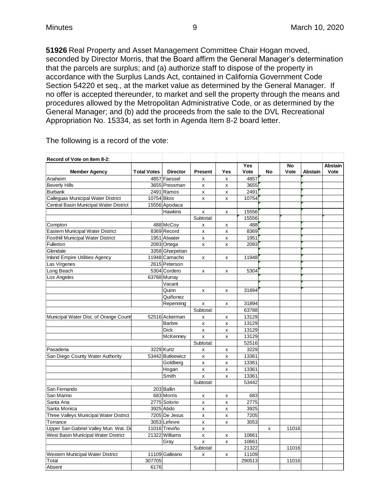**51926** Real Property and Asset Management Committee Chair Hogan moved, seconded by Director Morris, that the Board affirm the General Manager's determination that the parcels are surplus; and (a) authorize staff to dispose of the property in accordance with the Surplus Lands Act, contained in California Government Code Section 54220 et seq., at the market value as determined by the General Manager. If no offer is accepted thereunder, to market and sell the property through the means and procedures allowed by the Metropolitan Administrative Code, or as determined by the General Manager; and (b) add the proceeds from the sale to the DVL Recreational Appropriation No. 15334, as set forth in Agenda Item 8-2 board letter.

| Record of Vote on Item 8-2:              |                    |                  |                |                           |            |    |       |                |         |
|------------------------------------------|--------------------|------------------|----------------|---------------------------|------------|----|-------|----------------|---------|
|                                          |                    |                  |                |                           | <b>Yes</b> |    | No    |                | Abstain |
| <b>Member Agency</b>                     | <b>Total Votes</b> | <b>Director</b>  | <b>Present</b> | Yes                       | Vote       | No | Vote  | <b>Abstain</b> | Vote    |
| Anaheim                                  |                    | 4857 Faessel     | X              | x                         | 4857       |    |       |                |         |
| <b>Beverly Hills</b>                     |                    | 3655 Pressman    | X              | x                         | 3655       |    |       |                |         |
| <b>Burbank</b>                           |                    | 2491 Ramos       | X              | X                         | 2491       |    |       |                |         |
| Calleguas Municipal Water District       | 10754 Blois        |                  | X              | x                         | 10754      |    |       |                |         |
| Central Basin Municipal Water District   |                    | 15556 Apodaca    |                |                           |            |    |       |                |         |
|                                          |                    | Hawkins          | x              | x                         | 15556      |    |       |                |         |
|                                          |                    |                  | Subtotal:      |                           | 15556      |    |       |                |         |
| Compton                                  |                    | 488 McCoy        | x              | x                         | 488        |    |       |                |         |
| Eastern Municipal Water District         |                    | 8369 Record      | X              | x                         | 8369       |    |       |                |         |
| <b>Foothill Municipal Water District</b> |                    | 1951 Atwater     | $\mathsf{x}$   | $\mathsf{x}$              | 1951       |    |       |                |         |
| Fullerton                                |                    | 2093 Ortega      | x              | x                         | 2093       |    |       |                |         |
| Glendale                                 |                    | 3358 Gharpetian  |                |                           |            |    |       |                |         |
| <b>Inland Empire Utilities Agency</b>    |                    | 11948 Camacho    | x              | x                         | 11948      |    |       |                |         |
| Las Virgenes                             |                    | 2615 Peterson    |                |                           |            |    |       |                |         |
| Long Beach                               |                    | 5304 Cordero     | x              | x                         | 5304       |    |       |                |         |
| Los Angeles                              |                    | 63788 Murray     |                |                           |            |    |       |                |         |
|                                          |                    | Vacant           |                |                           |            |    |       |                |         |
|                                          |                    | Quinn            | X              | x                         | 31894      |    |       |                |         |
|                                          |                    | Quiñonez         |                |                           |            |    |       |                |         |
|                                          |                    | Repenning        | X              | x                         | 31894      |    |       |                |         |
|                                          |                    |                  | Subtotal:      |                           | 63788      |    |       |                |         |
| Municipal Water Dist. of Orange Count    |                    | 52516 Ackerman   | X              | x                         | 13129      |    |       |                |         |
|                                          |                    | <b>Barbre</b>    | X              | $\boldsymbol{\mathsf{x}}$ | 13129      |    |       |                |         |
|                                          |                    | <b>Dick</b>      | x              | X                         | 13129      |    |       |                |         |
|                                          |                    | McKenney         | X              | x                         | 13129      |    |       |                |         |
|                                          |                    |                  | Subtotal:      |                           | 52516      |    |       |                |         |
| Pasadena                                 |                    | 3229 Kurtz       | X              | X                         | 3229       |    |       |                |         |
| San Diego County Water Authority         |                    | 53442 Butkiewicz | $\mathsf{x}$   | $\pmb{\mathsf{x}}$        | 13361      |    |       |                |         |
|                                          |                    | Goldberg         | X              | x                         | 13361      |    |       |                |         |
|                                          |                    | Hogan            | x              | x                         | 13361      |    |       |                |         |
|                                          |                    | Smith            | $\mathsf{x}$   | x                         | 13361      |    |       |                |         |
|                                          |                    |                  | Subtotal:      |                           | 53442      |    |       |                |         |
| San Fernando                             |                    | 203 Ballin       |                |                           |            |    |       |                |         |
| San Marino                               |                    | 683 Morris       | x              | x                         | 683        |    |       |                |         |
| Santa Ana                                |                    | 2775 Solorio     | X              | x                         | 2775       |    |       |                |         |
| Santa Monica                             |                    | 3925 Abdo        | X              | X                         | 3925       |    |       |                |         |
| Three Valleys Municipal Water District   |                    | 7205 De Jesus    | X              | X                         | 7205       |    |       |                |         |
| Torrance                                 |                    | 3053 Lefevre     | X              | $\pmb{\mathsf{x}}$        | 3053       |    |       |                |         |
| Upper San Gabriel Valley Mun. Wat. Di    |                    | 11016 Treviño    | x              |                           |            | x  | 11016 |                |         |
| West Basin Municipal Water District      |                    | 21322 Williams   | x              | x                         | 10661      |    |       |                |         |
|                                          |                    | Gray             | X              | $\pmb{\mathsf{x}}$        | 10661      |    |       |                |         |
|                                          |                    |                  | Subtotal:      |                           | 21322      |    | 11016 |                |         |
| Western Municipal Water District         |                    | 11109 Galleano   | x              | x                         | 11109      |    |       |                |         |
| Total                                    | 307705             |                  |                |                           | 290513     |    | 11016 |                |         |
| Absent                                   | 6176               |                  |                |                           |            |    |       |                |         |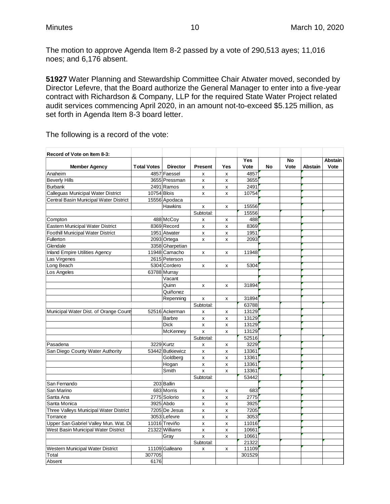The motion to approve Agenda Item 8-2 passed by a vote of 290,513 ayes; 11,016 noes; and 6,176 absent.

**51927** Water Planning and Stewardship Committee Chair Atwater moved, seconded by Director Lefevre, that the Board authorize the General Manager to enter into a five-year contract with Richardson & Company, LLP for the required State Water Project related audit services commencing April 2020, in an amount not-to-exceed \$5.125 million, as set forth in Agenda Item 8-3 board letter.

| Record of Vote on Item 8-3:              |                    |                  |                           |                    |        |           |      |                |                |
|------------------------------------------|--------------------|------------------|---------------------------|--------------------|--------|-----------|------|----------------|----------------|
|                                          |                    |                  |                           |                    | Yes    |           | No   |                | <b>Abstain</b> |
| <b>Member Agency</b>                     | <b>Total Votes</b> | <b>Director</b>  | <b>Present</b>            | Yes                | Vote   | <b>No</b> | Vote | <b>Abstain</b> | Vote           |
| Anaheim                                  |                    | 4857 Faessel     | X                         | x                  | 4857   |           |      |                |                |
| <b>Beverly Hills</b>                     |                    | 3655 Pressman    | $\pmb{\mathsf{x}}$        | X                  | 3655   |           |      |                |                |
| <b>Burbank</b>                           |                    | 2491 Ramos       | x                         | x                  | 2491   |           |      |                |                |
| Calleguas Municipal Water District       | 10754 Blois        |                  | X                         | X                  | 10754  |           |      |                |                |
| Central Basin Municipal Water District   |                    | 15556 Apodaca    |                           |                    |        |           |      |                |                |
|                                          |                    | <b>Hawkins</b>   | X                         | X                  | 15556  |           |      |                |                |
|                                          |                    |                  | Subtotal:                 |                    | 15556  |           |      |                |                |
| Compton                                  |                    | 488 McCoy        | x                         | x                  | 488    |           |      |                |                |
| Eastern Municipal Water District         |                    | 8369 Record      | x                         | X                  | 8369   |           |      |                |                |
| <b>Foothill Municipal Water District</b> |                    | 1951 Atwater     | $\boldsymbol{\mathsf{x}}$ | x                  | 1951   |           |      |                |                |
| Fullerton                                |                    | 2093 Ortega      | x                         | X                  | 2093   |           |      |                |                |
| Glendale                                 |                    | 3358 Gharpetian  |                           |                    |        |           |      |                |                |
| <b>Inland Empire Utilities Agency</b>    |                    | 11948 Camacho    | X                         | x                  | 11948  |           |      |                |                |
| Las Virgenes                             |                    | 2615 Peterson    |                           |                    |        |           |      |                |                |
| Long Beach                               |                    | 5304 Cordero     | X                         | $\mathsf{x}$       | 5304   |           |      |                |                |
| Los Angeles                              |                    | 63788 Murray     |                           |                    |        |           |      |                |                |
|                                          |                    | Vacant           |                           |                    |        |           |      |                |                |
|                                          |                    | Quinn            | X                         | x                  | 31894  |           |      |                |                |
|                                          |                    | Quiñonez         |                           |                    |        |           |      |                |                |
|                                          |                    | Repenning        | X                         | x                  | 31894  |           |      |                |                |
|                                          |                    |                  | Subtotal:                 |                    | 63788  |           |      |                |                |
| Municipal Water Dist. of Orange Count    |                    | 52516 Ackerman   | x                         | x                  | 13129  |           |      |                |                |
|                                          |                    | <b>Barbre</b>    | X                         | X                  | 13129  |           |      |                |                |
|                                          |                    | <b>Dick</b>      | $\mathsf{x}$              | $\pmb{\mathsf{x}}$ | 13129  |           |      |                |                |
|                                          |                    | McKenney         | $\pmb{\times}$            | X                  | 13129  |           |      |                |                |
|                                          |                    |                  | Subtotal:                 |                    | 52516  |           |      |                |                |
| Pasadena                                 |                    | 3229 Kurtz       | X                         | x                  | 3229   |           |      |                |                |
| San Diego County Water Authority         |                    | 53442 Butkiewicz | X                         | x                  | 13361  |           |      |                |                |
|                                          |                    | Goldberg         | $\pmb{\times}$            | X                  | 13361  |           |      |                |                |
|                                          |                    | Hogan            | $\pmb{\mathsf{x}}$        | X                  | 13361  |           |      |                |                |
|                                          |                    | Smith            | $\mathsf{x}$              | X                  | 13361  |           |      |                |                |
|                                          |                    |                  | Subtotal:                 |                    | 53442  |           |      |                |                |
| San Fernando                             |                    | 203 Ballin       |                           |                    |        |           |      |                |                |
| San Marino                               |                    | 683 Morris       | х                         | x                  | 683    |           |      |                |                |
| Santa Ana                                |                    | 2775 Solorio     | $\pmb{\mathsf{x}}$        | X                  | 2775   |           |      |                |                |
| Santa Monica                             |                    | 3925 Abdo        | X                         | x                  | 3925   |           |      |                |                |
| Three Valleys Municipal Water District   |                    | 7205 De Jesus    | X                         | X                  | 7205   |           |      |                |                |
| Torrance                                 |                    | 3053 Lefevre     | X                         | X                  | 3053   |           |      |                |                |
| Upper San Gabriel Valley Mun. Wat. Di    |                    | 11016 Treviño    | $\pmb{\mathsf{x}}$        | X                  | 11016  |           |      |                |                |
| West Basin Municipal Water District      |                    | 21322 Williams   | x                         | X                  | 10661  |           |      |                |                |
|                                          |                    | Gray             | $\pmb{\mathsf{x}}$        | X                  | 10661  |           |      |                |                |
|                                          |                    |                  | Subtotal:                 |                    | 21322  |           |      |                |                |
| Western Municipal Water District         |                    | 11109 Galleano   | $\pmb{\mathsf{x}}$        | x                  | 11109  |           |      |                |                |
| Total                                    | 307705             |                  |                           |                    | 301529 |           |      |                |                |
| Absent                                   | 6176               |                  |                           |                    |        |           |      |                |                |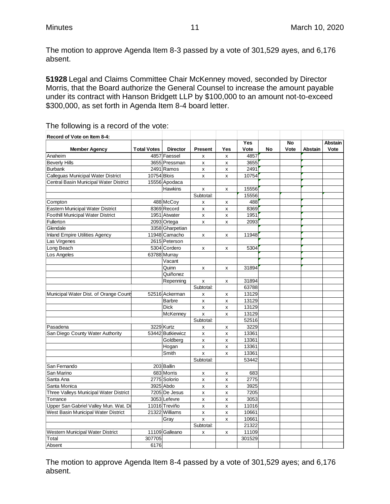$\sim$ 

 $\sim$ 

The motion to approve Agenda Item 8-3 passed by a vote of 301,529 ayes, and 6,176 absent.

**51928** Legal and Claims Committee Chair McKenney moved, seconded by Director Morris, that the Board authorize the General Counsel to increase the amount payable under its contract with Hanson Bridgett LLP by \$100,000 to an amount not-to-exceed \$300,000, as set forth in Agenda Item 8-4 board letter.

| Record of Vote on Item 8-4:              |                    |                  |                    |     |        |    |      |                |                |
|------------------------------------------|--------------------|------------------|--------------------|-----|--------|----|------|----------------|----------------|
|                                          |                    |                  |                    |     | Yes    |    | No   |                | <b>Abstain</b> |
| <b>Member Agency</b>                     | <b>Total Votes</b> | <b>Director</b>  | <b>Present</b>     | Yes | Vote   | No | Vote | <b>Abstain</b> | Vote           |
| Anaheim                                  |                    | 4857 Faessel     | X                  | x   | 4857   |    |      |                |                |
| <b>Beverly Hills</b>                     |                    | 3655 Pressman    | x                  | x   | 3655   |    |      |                |                |
| <b>Burbank</b>                           |                    | 2491 Ramos       | $\pmb{\mathsf{x}}$ | X   | 2491   |    |      |                |                |
| Calleguas Municipal Water District       | 10754 Blois        |                  | X                  | X   | 10754  |    |      |                |                |
| Central Basin Municipal Water District   |                    | 15556 Apodaca    |                    |     |        |    |      |                |                |
|                                          |                    | <b>Hawkins</b>   | x                  | x   | 15556  |    |      |                |                |
|                                          |                    |                  | Subtotal:          |     | 15556  |    |      |                |                |
| Compton                                  |                    | 488 McCoy        | X                  | x   | 488    |    |      |                |                |
| Eastern Municipal Water District         |                    | 8369 Record      | X                  | x   | 8369   |    |      |                |                |
| <b>Foothill Municipal Water District</b> |                    | 1951 Atwater     | x                  | X   | 1951   |    |      |                |                |
| Fullerton                                |                    | 2093 Ortega      | X                  | X   | 2093   |    |      |                |                |
| Glendale                                 |                    | 3358 Gharpetian  |                    |     |        |    |      |                |                |
| <b>Inland Empire Utilities Agency</b>    |                    | 11948 Camacho    | X                  | x   | 11948  |    |      |                |                |
| Las Virgenes                             |                    | 2615 Peterson    |                    |     |        |    |      |                |                |
| Long Beach                               |                    | 5304 Cordero     | X                  | x   | 5304   |    |      |                |                |
| Los Angeles                              |                    | 63788 Murray     |                    |     |        |    |      |                |                |
|                                          |                    | Vacant           |                    |     |        |    |      |                |                |
|                                          |                    | Quinn            | X                  | x   | 31894  |    |      |                |                |
|                                          |                    | Quiñonez         |                    |     |        |    |      |                |                |
|                                          |                    | Repenning        | $\pmb{\mathsf{x}}$ | x   | 31894  |    |      |                |                |
|                                          |                    |                  | Subtotal:          |     | 63788  |    |      |                |                |
| Municipal Water Dist. of Orange Count    |                    | 52516 Ackerman   | X                  | x   | 13129  |    |      |                |                |
|                                          |                    | <b>Barbre</b>    | x                  | X   | 13129  |    |      |                |                |
|                                          |                    | <b>Dick</b>      | $\pmb{\mathsf{x}}$ | X   | 13129  |    |      |                |                |
|                                          |                    | McKenney         | X                  | X   | 13129  |    |      |                |                |
|                                          |                    |                  | Subtotal:          |     | 52516  |    |      |                |                |
| Pasadena                                 |                    | 3229 Kurtz       | x                  | X   | 3229   |    |      |                |                |
| San Diego County Water Authority         |                    | 53442 Butkiewicz | X                  | X   | 13361  |    |      |                |                |
|                                          |                    | Goldberg         | $\pmb{\times}$     | X   | 13361  |    |      |                |                |
|                                          |                    | Hogan            | x                  | X   | 13361  |    |      |                |                |
|                                          |                    | Smith            | $\pmb{\times}$     | X   | 13361  |    |      |                |                |
|                                          |                    |                  | Subtotal:          |     | 53442  |    |      |                |                |
| San Fernando                             |                    | 203 Ballin       |                    |     |        |    |      |                |                |
| San Marino                               |                    | 683 Morris       | X                  | X   | 683    |    |      |                |                |
| Santa Ana                                |                    | 2775 Solorio     | x                  | X   | 2775   |    |      |                |                |
| Santa Monica                             |                    | 3925 Abdo        | $\pmb{\mathsf{x}}$ | X   | 3925   |    |      |                |                |
| Three Valleys Municipal Water District   |                    | 7205 De Jesus    | $\pmb{\times}$     | X   | 7205   |    |      |                |                |
| Torrance                                 |                    | 3053 Lefevre     | $\pmb{\times}$     | X   | 3053   |    |      |                |                |
| Upper San Gabriel Valley Mun. Wat. Di    |                    | 11016 Treviño    | x                  | X   | 11016  |    |      |                |                |
| West Basin Municipal Water District      |                    | 21322 Williams   | x                  | X   | 10661  |    |      |                |                |
|                                          |                    | Gray             | $\mathsf{x}$       | x   | 10661  |    |      |                |                |
|                                          |                    |                  | Subtotal:          |     | 21322  |    |      |                |                |
| Western Municipal Water District         |                    | 11109 Galleano   | X                  | X   | 11109  |    |      |                |                |
| Total                                    | 307705             |                  |                    |     | 301529 |    |      |                |                |
| Absent                                   | 6176               |                  |                    |     |        |    |      |                |                |

#### The following is a record of the vote:

The motion to approve Agenda Item 8-4 passed by a vote of 301,529 ayes; and 6,176 absent.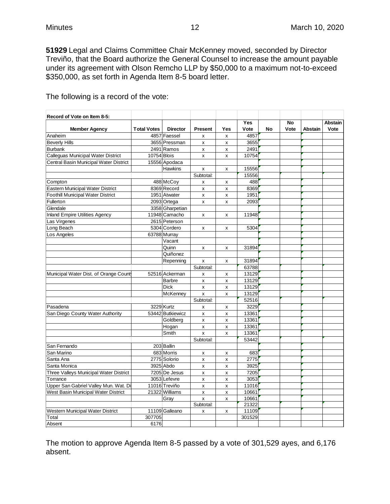**51929** Legal and Claims Committee Chair McKenney moved, seconded by Director Treviño, that the Board authorize the General Counsel to increase the amount payable under its agreement with Olson Remcho LLP by \$50,000 to a maximum not-to-exceed \$350,000, as set forth in Agenda Item 8-5 board letter.

| Record of Vote on Item 8-5:              |                    |                  |                |     |        |    |      |                |         |
|------------------------------------------|--------------------|------------------|----------------|-----|--------|----|------|----------------|---------|
|                                          |                    |                  |                |     | Yes    |    | No   |                | Abstain |
| <b>Member Agency</b>                     | <b>Total Votes</b> | <b>Director</b>  | <b>Present</b> | Yes | Vote   | No | Vote | <b>Abstain</b> | Vote    |
| Anaheim                                  |                    | 4857 Faessel     | X              | x   | 4857   |    |      |                |         |
| <b>Beverly Hills</b>                     |                    | 3655 Pressman    | x              | x   | 3655   |    |      |                |         |
| <b>Burbank</b>                           |                    | 2491 Ramos       | x              | x   | 2491   |    |      |                |         |
| Calleguas Municipal Water District       | 10754 Blois        |                  | $\mathsf{x}$   | X   | 10754  |    |      |                |         |
| Central Basin Municipal Water District   |                    | 15556 Apodaca    |                |     |        |    |      |                |         |
|                                          |                    | Hawkins          | x              | x   | 15556  |    |      |                |         |
|                                          |                    |                  | Subtotal:      |     | 15556  |    |      |                |         |
| Compton                                  |                    | 488 McCoy        | X              | x   | 488    |    |      |                |         |
| Eastern Municipal Water District         |                    | 8369 Record      | X              | X   | 8369   |    |      |                |         |
| <b>Foothill Municipal Water District</b> |                    | 1951 Atwater     | x              | x   | 1951   |    |      |                |         |
| Fullerton                                |                    | 2093 Ortega      | X              | X   | 2093   |    |      |                |         |
| Glendale                                 |                    | 3358 Gharpetian  |                |     |        |    |      |                |         |
| <b>Inland Empire Utilities Agency</b>    |                    | 11948 Camacho    | X              | X   | 11948  |    |      |                |         |
| Las Virgenes                             |                    | 2615 Peterson    |                |     |        |    |      |                |         |
| Long Beach                               |                    | 5304 Cordero     | X              | X   | 5304   |    |      |                |         |
| Los Angeles                              |                    | 63788 Murray     |                |     |        |    |      |                |         |
|                                          |                    | Vacant           |                |     |        |    |      |                |         |
|                                          |                    | Quinn            | x              | x   | 31894  |    |      |                |         |
|                                          |                    | Quiñonez         |                |     |        |    |      |                |         |
|                                          |                    | Repenning        | x              | x   | 31894  |    |      |                |         |
|                                          |                    |                  | Subtotal:      |     | 63788  |    |      |                |         |
| Municipal Water Dist. of Orange Count    |                    | 52516 Ackerman   | X              | x   | 13129  |    |      |                |         |
|                                          |                    | <b>Barbre</b>    | X              | x   | 13129  |    |      |                |         |
|                                          |                    | <b>Dick</b>      | X              | x   | 13129  |    |      |                |         |
|                                          |                    | McKenney         | X              | X   | 13129  |    |      |                |         |
|                                          |                    |                  | Subtotal:      |     | 52516  |    |      |                |         |
| Pasadena                                 |                    | 3229 Kurtz       | x              | x   | 3229   |    |      |                |         |
| San Diego County Water Authority         |                    | 53442 Butkiewicz | x              | x   | 13361  |    |      |                |         |
|                                          |                    | Goldberg         | x              | X   | 13361  |    |      |                |         |
|                                          |                    | Hogan            | x              | X   | 13361  |    |      |                |         |
|                                          |                    | Smith            | $\mathbf{x}$   | x   | 13361  |    |      |                |         |
|                                          |                    |                  | Subtotal:      |     | 53442  |    |      |                |         |
| San Fernando                             |                    | 203 Ballin       |                |     |        |    |      |                |         |
| San Marino                               |                    | 683 Morris       | x              | x   | 683    |    |      |                |         |
| Santa Ana                                |                    | 2775 Solorio     | X              | x   | 2775   |    |      |                |         |
| Santa Monica                             |                    | 3925 Abdo        | X              | X   | 3925   |    |      |                |         |
| Three Valleys Municipal Water District   |                    | 7205 De Jesus    | x              | x   | 7205   |    |      |                |         |
| Torrance                                 |                    | 3053 Lefevre     | X              | X   | 3053   |    |      |                |         |
| Upper San Gabriel Valley Mun. Wat. Di    |                    | 11016 Treviño    | x              | X   | 11016  |    |      |                |         |
| West Basin Municipal Water District      |                    | 21322 Williams   | X              | x   | 10661  |    |      |                |         |
|                                          |                    | Gray             | X              | X   | 10661  |    |      |                |         |
|                                          |                    |                  | Subtotal:      |     | 21322  |    |      |                |         |
| Western Municipal Water District         |                    | 11109 Galleano   | x              | X   | 11109  |    |      |                |         |
| Total                                    | 307705             |                  |                |     | 301529 |    |      |                |         |
| Absent                                   | 6176               |                  |                |     |        |    |      |                |         |

The following is a record of the vote:

The motion to approve Agenda Item 8-5 passed by a vote of 301,529 ayes, and 6,176 absent.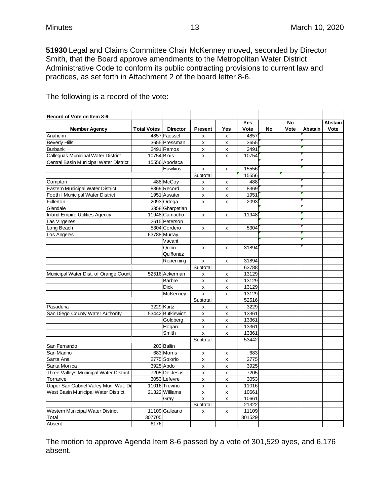**51930** Legal and Claims Committee Chair McKenney moved, seconded by Director Smith, that the Board approve amendments to the Metropolitan Water District Administrative Code to conform its public contracting provisions to current law and practices, as set forth in Attachment 2 of the board letter 8-6.

| Record of Vote on Item 8-6:              |                    |                  |                    |              |            |    |      |                |         |
|------------------------------------------|--------------------|------------------|--------------------|--------------|------------|----|------|----------------|---------|
|                                          |                    |                  |                    |              | <b>Yes</b> |    | No   |                | Abstain |
| <b>Member Agency</b>                     | <b>Total Votes</b> | <b>Director</b>  | <b>Present</b>     | Yes          | Vote       | No | Vote | <b>Abstain</b> | Vote    |
| Anaheim                                  |                    | 4857 Faessel     | x                  | X            | 4857       |    |      |                |         |
| <b>Beverly Hills</b>                     |                    | 3655 Pressman    | x                  | x            | 3655       |    |      |                |         |
| <b>Burbank</b>                           |                    | 2491 Ramos       | x                  | x            | 2491       |    |      |                |         |
| Calleguas Municipal Water District       | 10754 Blois        |                  | $\mathsf{x}$       | $\mathbf{x}$ | 10754      |    |      |                |         |
| Central Basin Municipal Water District   |                    | 15556 Apodaca    |                    |              |            |    |      |                |         |
|                                          |                    | Hawkins          | X                  | X            | 15556      |    |      |                |         |
|                                          |                    |                  | Subtotal:          |              | 15556      |    |      |                |         |
| Compton                                  |                    | 488 McCoy        | x                  | x            | 488        |    |      |                |         |
| <b>Eastern Municipal Water District</b>  |                    | 8369 Record      | $\pmb{\mathsf{x}}$ | X            | 8369       |    |      |                |         |
| <b>Foothill Municipal Water District</b> |                    | 1951 Atwater     | X                  | x            | 1951       |    |      |                |         |
| Fullerton                                |                    | 2093 Ortega      | $\pmb{\mathsf{x}}$ | X            | 2093       |    |      |                |         |
| Glendale                                 |                    | 3358 Gharpetian  |                    |              |            |    |      |                |         |
| <b>Inland Empire Utilities Agency</b>    |                    | 11948 Camacho    | X                  | X            | 11948      |    |      |                |         |
| Las Virgenes                             |                    | 2615 Peterson    |                    |              |            |    |      |                |         |
| Long Beach                               |                    | 5304 Cordero     | X                  | X            | 5304       |    |      |                |         |
| Los Angeles                              |                    | 63788 Murray     |                    |              |            |    |      |                |         |
|                                          |                    | Vacant           |                    |              |            |    |      |                |         |
|                                          |                    | Quinn            | X                  | x            | 31894      |    |      |                |         |
|                                          |                    | Quiñonez         |                    |              |            |    |      |                |         |
|                                          |                    | Repenning        | X                  | x            | 31894      |    |      |                |         |
|                                          |                    |                  | Subtotal:          |              | 63788      |    |      |                |         |
| Municipal Water Dist. of Orange Count    |                    | 52516 Ackerman   | $\pmb{\mathsf{x}}$ | X            | 13129      |    |      |                |         |
|                                          |                    | Barbre           | $\pmb{\mathsf{x}}$ | x            | 13129      |    |      |                |         |
|                                          |                    | <b>Dick</b>      | x                  | x            | 13129      |    |      |                |         |
|                                          |                    | McKenney         | $\pmb{\mathsf{x}}$ | X            | 13129      |    |      |                |         |
|                                          |                    |                  | Subtotal:          |              | 52516      |    |      |                |         |
| Pasadena                                 |                    | 3229 Kurtz       | X                  | x            | 3229       |    |      |                |         |
| San Diego County Water Authority         |                    | 53442 Butkiewicz | X                  | x            | 13361      |    |      |                |         |
|                                          |                    | Goldberg         | x                  | x            | 13361      |    |      |                |         |
|                                          |                    | Hogan            | X                  | X            | 13361      |    |      |                |         |
|                                          |                    | Smith            | $\mathbf{x}$       | X            | 13361      |    |      |                |         |
|                                          |                    |                  | Subtotal:          |              | 53442      |    |      |                |         |
| San Fernando                             |                    | 203 Ballin       |                    |              |            |    |      |                |         |
| San Marino                               |                    | 683 Morris       | X                  | x            | 683        |    |      |                |         |
| Santa Ana                                |                    | 2775 Solorio     | x                  | x            | 2775       |    |      |                |         |
| Santa Monica                             |                    | 3925 Abdo        | $\pmb{\mathsf{x}}$ | x            | 3925       |    |      |                |         |
| Three Valleys Municipal Water District   |                    | 7205 De Jesus    | X                  | x            | 7205       |    |      |                |         |
| Torrance                                 |                    | 3053 Lefevre     | $\pmb{\mathsf{x}}$ | X            | 3053       |    |      |                |         |
| Upper San Gabriel Valley Mun. Wat. Di    |                    | 11016 Treviño    | x                  | X            | 11016      |    |      |                |         |
| West Basin Municipal Water District      |                    | 21322 Williams   | X                  | X            | 10661      |    |      |                |         |
|                                          |                    | Gray             | $\pmb{\mathsf{x}}$ | X            | 10661      |    |      |                |         |
|                                          |                    |                  | Subtotal:          |              | 21322      |    |      |                |         |
| Western Municipal Water District         |                    | 11109 Galleano   | x                  | x            | 11109      |    |      |                |         |
| Total                                    | 307705             |                  |                    |              | 301529     |    |      |                |         |
| Absent                                   | 6176               |                  |                    |              |            |    |      |                |         |

The following is a record of the vote:

The motion to approve Agenda Item 8-6 passed by a vote of 301,529 ayes, and 6,176 absent.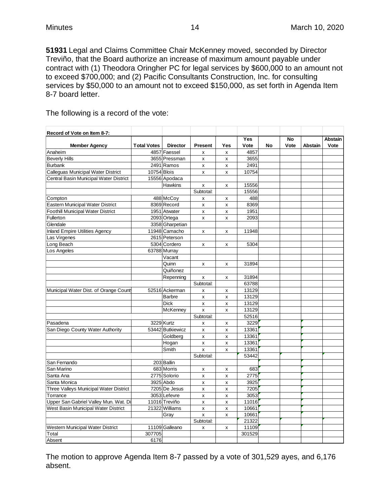**51931** Legal and Claims Committee Chair McKenney moved, seconded by Director Treviño, that the Board authorize an increase of maximum amount payable under contract with (1) Theodora Oringher PC for legal services by \$600,000 to an amount not to exceed \$700,000; and (2) Pacific Consultants Construction, Inc. for consulting services by \$50,000 to an amount not to exceed \$150,000, as set forth in Agenda Item 8-7 board letter.

The following is a record of the vote:

| Record of Vote on Item 8-7:              |                    |                  |                         |     |        |    |           |                |                |
|------------------------------------------|--------------------|------------------|-------------------------|-----|--------|----|-----------|----------------|----------------|
|                                          |                    |                  |                         |     | Yes    |    | <b>No</b> |                | <b>Abstain</b> |
| <b>Member Agency</b>                     | <b>Total Votes</b> | <b>Director</b>  | <b>Present</b>          | Yes | Vote   | No | Vote      | <b>Abstain</b> | Vote           |
| Anaheim                                  |                    | 4857 Faessel     | x                       | x   | 4857   |    |           |                |                |
| <b>Beverly Hills</b>                     |                    | 3655 Pressman    | X                       | x   | 3655   |    |           |                |                |
| <b>Burbank</b>                           |                    | 2491 Ramos       | X                       | X   | 2491   |    |           |                |                |
| Calleguas Municipal Water District       | 10754 Blois        |                  | X                       | X   | 10754  |    |           |                |                |
| Central Basin Municipal Water District   |                    | 15556 Apodaca    |                         |     |        |    |           |                |                |
|                                          |                    | Hawkins          | X                       | x   | 15556  |    |           |                |                |
|                                          |                    |                  | Subtotal:               |     | 15556  |    |           |                |                |
| Compton                                  |                    | 488 McCoy        | x                       | x   | 488    |    |           |                |                |
| <b>Eastern Municipal Water District</b>  |                    | 8369 Record      | $\pmb{\mathsf{x}}$      | x   | 8369   |    |           |                |                |
| <b>Foothill Municipal Water District</b> |                    | 1951 Atwater     | X                       | X   | 1951   |    |           |                |                |
| Fullerton                                |                    | 2093 Ortega      | x                       | x   | 2093   |    |           |                |                |
| Glendale                                 |                    | 3358 Gharpetian  |                         |     |        |    |           |                |                |
| <b>Inland Empire Utilities Agency</b>    |                    | 11948 Camacho    | X                       | x   | 11948  |    |           |                |                |
| Las Virgenes                             |                    | 2615 Peterson    |                         |     |        |    |           |                |                |
| Long Beach                               |                    | 5304 Cordero     | X                       | X   | 5304   |    |           |                |                |
| Los Angeles                              |                    | 63788 Murray     |                         |     |        |    |           |                |                |
|                                          |                    | Vacant           |                         |     |        |    |           |                |                |
|                                          |                    | Quinn            | X                       | x   | 31894  |    |           |                |                |
|                                          |                    | Quiñonez         |                         |     |        |    |           |                |                |
|                                          |                    | Repenning        | X                       | x   | 31894  |    |           |                |                |
|                                          |                    |                  | Subtotal:               |     | 63788  |    |           |                |                |
| Municipal Water Dist. of Orange Count    |                    | 52516 Ackerman   | X                       | x   | 13129  |    |           |                |                |
|                                          |                    | <b>Barbre</b>    | X                       | X   | 13129  |    |           |                |                |
|                                          |                    | <b>Dick</b>      | X                       | X   | 13129  |    |           |                |                |
|                                          |                    | McKenney         | $\overline{\mathsf{x}}$ | X   | 13129  |    |           |                |                |
|                                          |                    |                  | Subtotal:               |     | 52516  |    |           |                |                |
| Pasadena                                 |                    | 3229 Kurtz       | X                       | x   | 3229   |    |           |                |                |
| San Diego County Water Authority         |                    | 53442 Butkiewicz | x                       | x   | 13361  |    |           |                |                |
|                                          |                    | Goldberg         | $\pmb{\mathsf{x}}$      | x   | 13361  |    |           |                |                |
|                                          |                    | Hogan            | x                       | x   | 13361  |    |           |                |                |
|                                          |                    | Smith            | X                       | x   | 13361  |    |           |                |                |
|                                          |                    |                  | Subtotal:               |     | 53442  |    |           |                |                |
| San Fernando                             |                    | 203 Ballin       |                         |     |        |    |           |                |                |
| San Marino                               |                    | 683 Morris       | X                       | x   | 683    |    |           |                |                |
| Santa Ana                                |                    | 2775 Solorio     | X                       | x   | 2775   |    |           |                |                |
| Santa Monica                             |                    | 3925 Abdo        | X                       | x   | 3925   |    |           |                |                |
| Three Valleys Municipal Water District   |                    | 7205 De Jesus    | X                       | x   | 7205   |    |           |                |                |
| Torrance                                 |                    | 3053 Lefevre     | X                       | X   | 3053   |    |           |                |                |
| Upper San Gabriel Valley Mun. Wat. Di    |                    | 11016 Treviño    | x                       | x   | 11016  |    |           |                |                |
| West Basin Municipal Water District      |                    | 21322 Williams   | $\mathsf{x}$            | x   | 10661  |    |           |                |                |
|                                          |                    | Gray             | $\pmb{\mathsf{x}}$      | x   | 10661  |    |           |                |                |
|                                          |                    |                  | Subtotal:               |     | 21322  |    |           |                |                |
| Western Municipal Water District         |                    | 11109 Galleano   | x                       | x   | 11109  |    |           |                |                |
| Total                                    | 307705             |                  |                         |     | 301529 |    |           |                |                |
| Absent                                   | 6176               |                  |                         |     |        |    |           |                |                |

The motion to approve Agenda Item 8-7 passed by a vote of 301,529 ayes, and 6,176 absent.